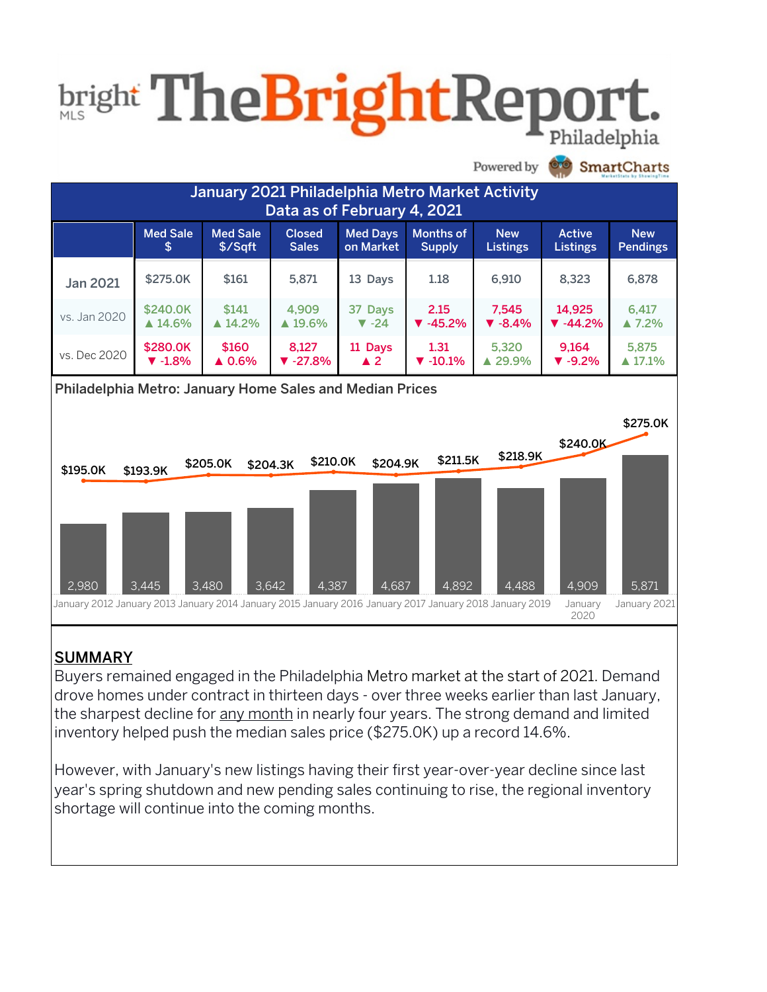## **bright TheBrightRepo** Philadelphia



#### SUMMARY

Buyers remained engaged in the Philadelphia Metro market at the start of 2021. Demand drove homes under contract in thirteen days - over three weeks earlier than last January, the sharpest decline for any month in nearly four years. The strong demand and limited inventory helped push the median sales price (\$275.0K) up a record  $14.6\%$ .

However, with January's new listings having their first year-over-year decline since last year's spring shutdown and new pending sales continuing to rise, the regional inventory shortage will continue into the coming months.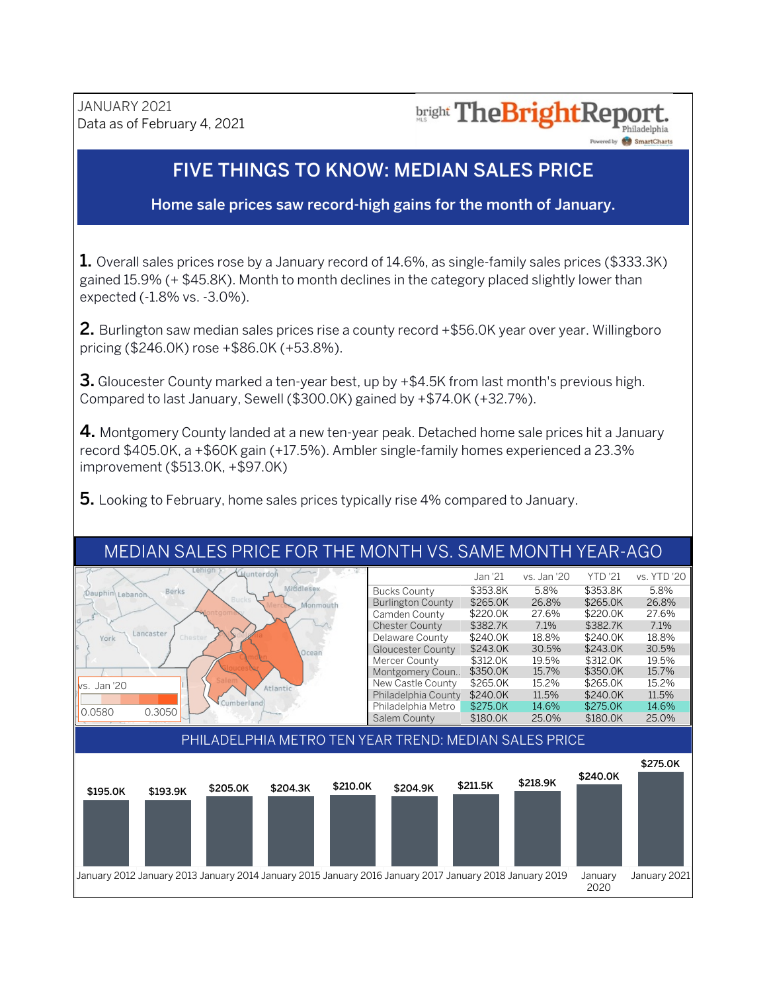## **bright The Bright Report**

Powered by **SmartCharts** 

#### **FIVE THINGS TO KNOW: MEDIAN SALES PRICE**

Home sale prices saw record-high gains for the month of January.

1. Overall sales prices rose by a January record of 14.6%, as single-family sales prices (\$333.3K) gained 15.9% (+ \$45.8K). Month to month declines in the category placed slightly lower than expected(-1.8% vs.-3.0%).

2. Burlington saw median sales prices rise a county record +\$56.0K year over year. Willingboro pricing (\$246.0K) rose +\$86.0K (+53.8%).

**3.** Gloucester County marked a ten-year best, up by  $+\$4.5K$  from last month's previous high. Compared to last January, Sewell (\$300.0K) gained by +\$74.0K (+32.7%).

4. Montgomery County landed at a new ten-year peak. Detached home sale prices hit a January record \$405.0K, a +\$60K gain (+17.5%). Ambler single-family homes experienced a 23.3% improvement(\$513.0K,+\$97.0K)

**5.** Looking to February, home sales prices typically rise 4% compared to January.

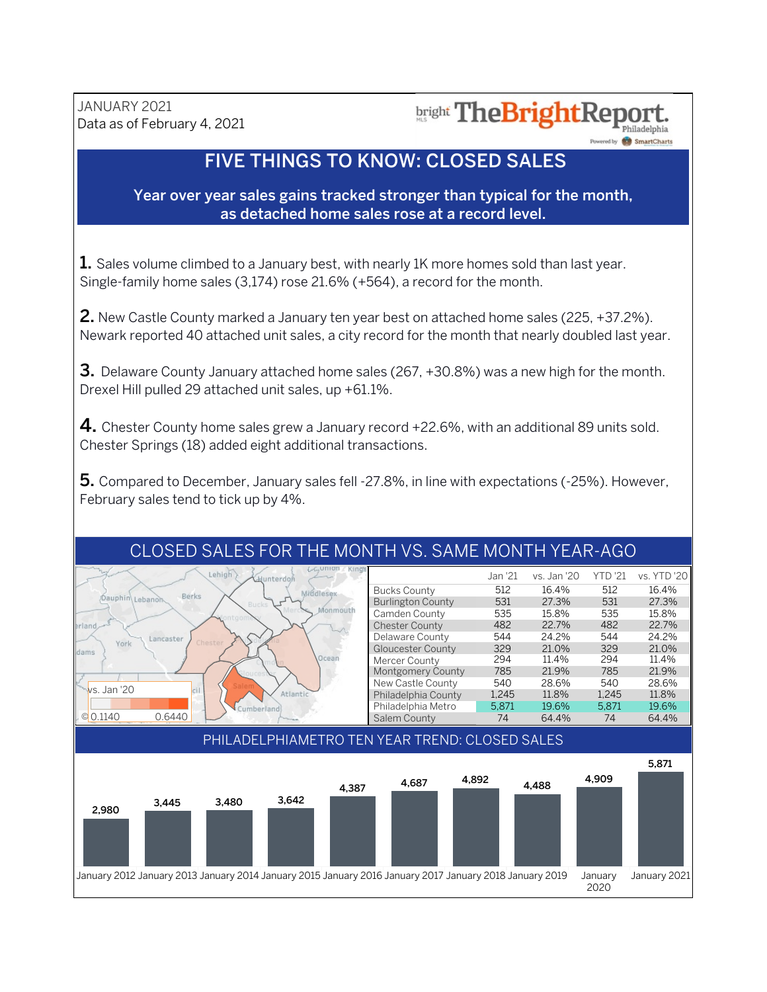#### bright The Bright Report. Philadelphia

Powered by **SmartCharts** 

#### **FIVE THINGS TO KNOW: CLOSED SALES**

Year over year sales gains tracked stronger than typical for the month, as detached home sales rose at a record level.

1. Sales volume climbed to a January best, with nearly 1K more homes sold than last year. Single-family home sales (3,174) rose 21.6% (+564), a record for the month.

**2.** New Castle County marked a January ten year best on attached home sales (225, +37.2%). Newark reported 40 attached unit sales, a city record for the month that nearly doubled last year.

**3.** Delaware County January attached home sales (267,  $+30.8%$ ) was a new high for the month. Drexel Hill pulled 29 attached unit sales, up +61.1%.

4. Chester County home sales grew a January record +22.6%, with an additional 89 units sold. Chester Springs (18) added eight additional transactions.

5. Compared to December, January sales fell -27.8%, in line with expectations (-25%). However, February sales tend to tick up by 4%.

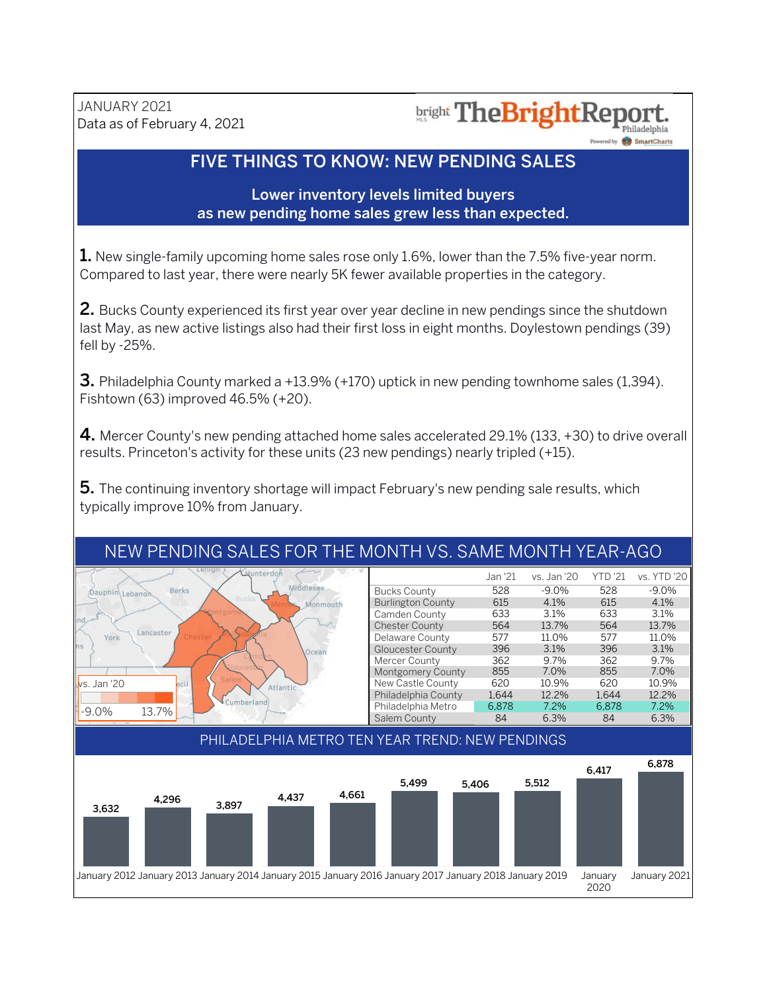### **bright TheBrightReport**

Powered by **SmartCharts** 

#### FIVE THINGS TO KNOW: NEW PENDING SALES

#### Lower inventory levels limited buyers as new pending home sales grew less than expected.

**1.** New single-family upcoming home sales rose only 1.6%, lower than the 7.5% five-year norm. Compared to last year, there were nearly 5K fewer available properties in the category.

2. Bucks County experienced its first year over year decline in new pendings since the shutdown last May, as new active listings also had their first loss in eight months. Doylestown pendings (39) fell by -25%.

**3.** Philadelphia County marked a  $+13.9\%$  ( $+170$ ) uptick in new pending townhome sales (1,394). Fishtown (63) improved 46.5% (+20).

4. Mercer County's new pending attached home sales accelerated 29.1% (133,  $+30$ ) to drive overall results. Princeton's activity for these units (23 new pendings) nearly tripled (+15).

5. The continuing inventory shortage will impact February's new pending sale results, which typically improve 10% from January.

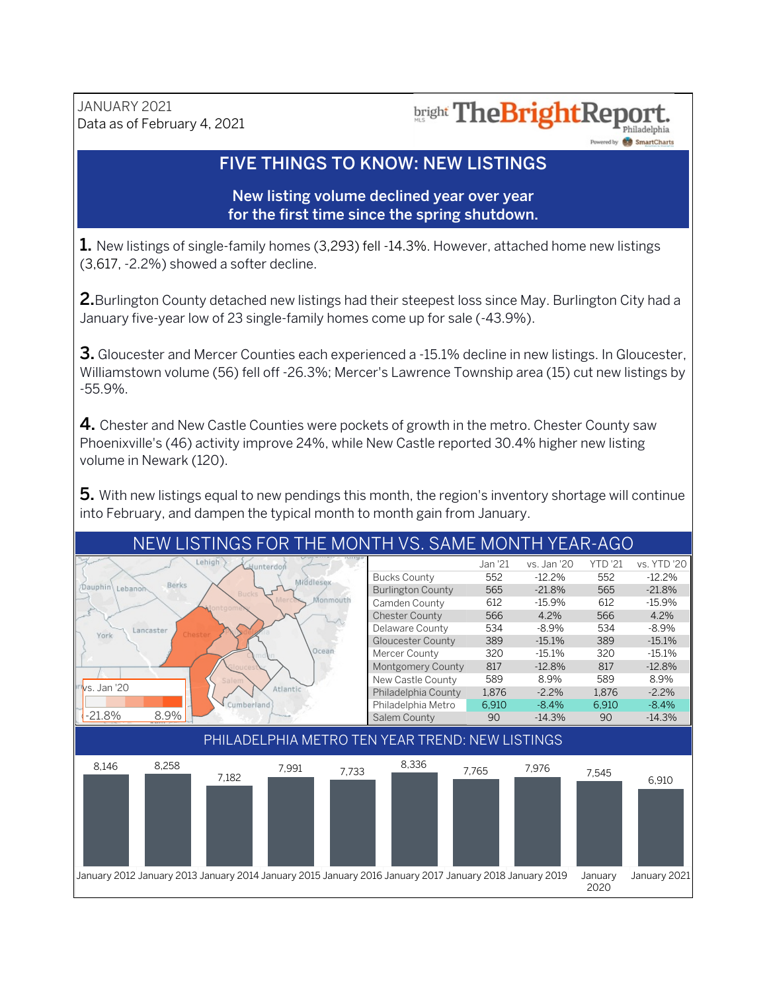## bright The BrightRepo

Powered by **SmartCharts** 

#### FIVE THINGS TO KNOW: NEW LISTINGS

New listing volume declined year over year for the first time since the spring shutdown.

1. New listings of single-family homes (3,293) fell -14.3%. However, attached home new listings  $(3,617,-2.2%)$  showed a softer decline.

2. Burlington County detached new listings had their steepest loss since May. Burlington City had a January five-year low of 23 single-family homes come up for sale (-43.9%).

**3.** Gloucester and Mercer Counties each experienced a -15.1% decline in new listings. In Gloucester, Williamstown volume (56) fell off -26.3%; Mercer's Lawrence Township area (15) cut new listings by -55.9%.

4. Chester and New Castle Counties were pockets of growth in the metro. Chester County saw Phoenixville's (46) activity improve 24%, while New Castle reported 30.4% higher new listing volume in Newark (120).

5. With new listings equal to new pendings this month, the region's inventory shortage will continue into February, and dampen the typical month to month gain from January.

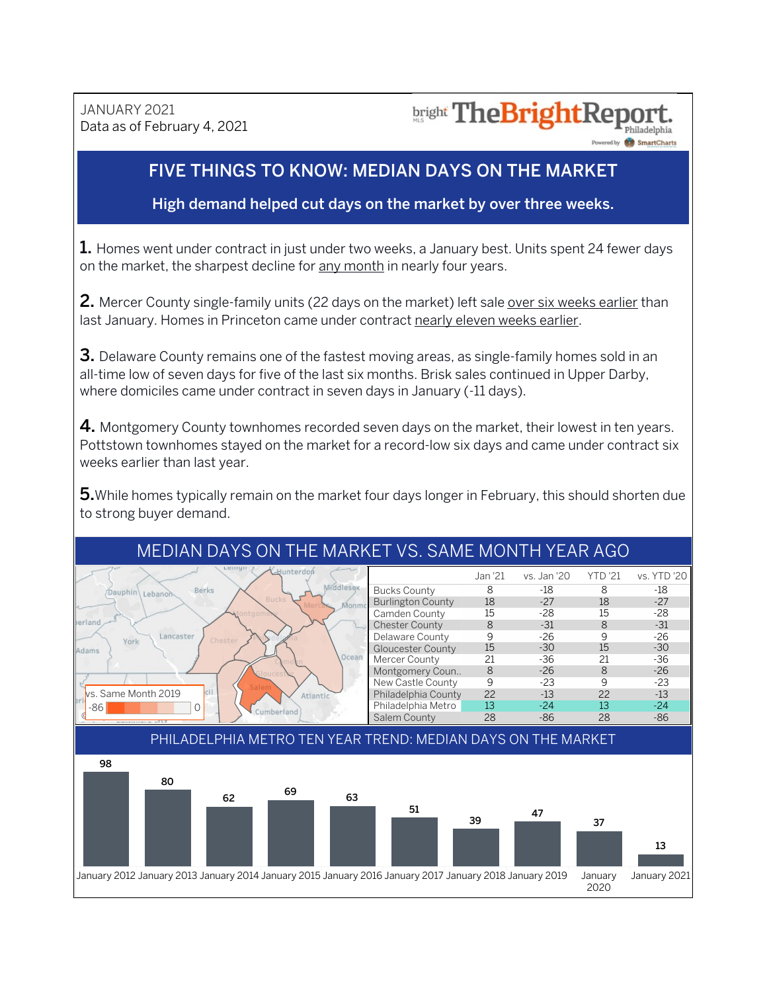JANUARY<sub>2021</sub> Data as of February 4, 2021

#### **bright TheBrightRep** Philadelphia

ed by **SmartCharts** 

#### FIVE THINGS TO KNOW: MEDIAN DAYS ON THE MARKET

#### High demand helped cut days on the market by over three weeks.

**1.** Homes went under contract in just under two weeks, a January best. Units spent 24 fewer days on the market, the sharpest decline for any month in nearly four years.

2. Mercer County single-family units (22 days on the market) left sale over six weeks earlier than last January. Homes in Princeton came under contract nearly eleven weeks earlier.

**3.** Delaware County remains one of the fastest moving areas, as single-family homes sold in an all-time low of seven days for five of the last six months. Brisk sales continued in Upper Darby, where domiciles came under contract in seven days in January (-11 days).

4. Montgomery County townhomes recorded seven days on the market, their lowest in ten years. Pottstown townhomes stayed on the market for a record-low six days and came under contract six weeks earlier than last year.

5. While homes typically remain on the market four days longer in February, this should shorten due to strong buyer demand.



#### MEDIAN DAYS ON THE MARKET VS. SAME MONTH YEAR AGO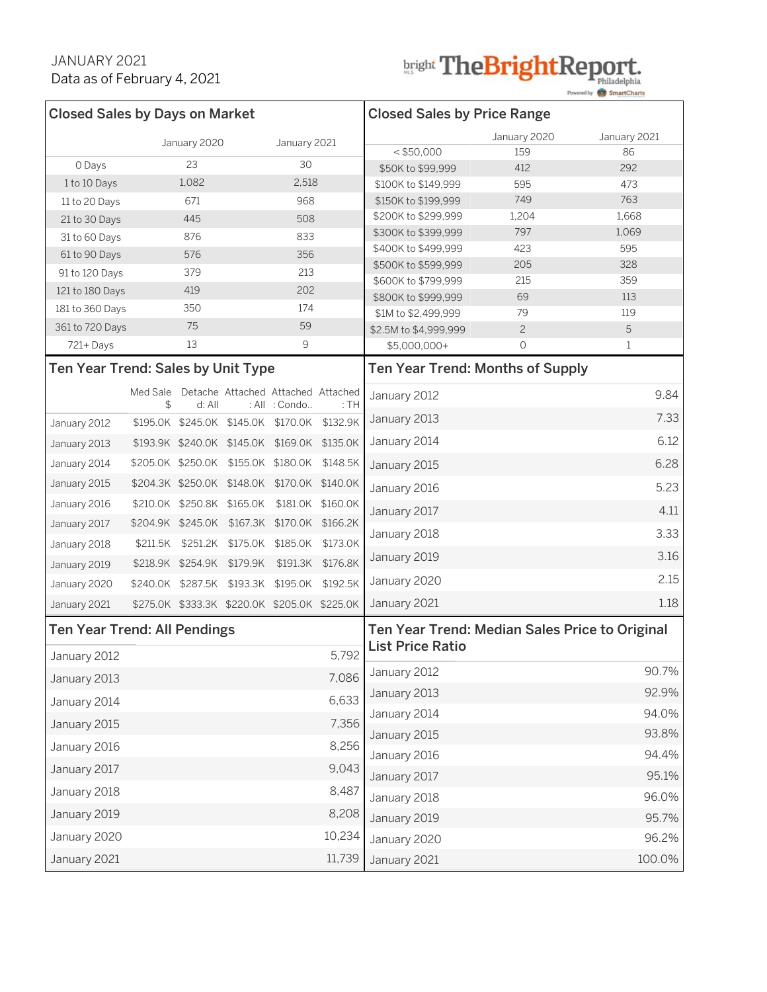# bright TheBrightReport.

Powered by **SmartCharts** 

| <b>Closed Sales by Days on Market</b>                        |                |              |                            |                                                     |                   | <b>Closed Sales by Price Range</b>                                        |                |                |
|--------------------------------------------------------------|----------------|--------------|----------------------------|-----------------------------------------------------|-------------------|---------------------------------------------------------------------------|----------------|----------------|
|                                                              |                | January 2020 |                            |                                                     | January 2021      |                                                                           | January 2020   | January 2021   |
|                                                              |                | 23           |                            |                                                     |                   | $<$ \$50,000                                                              | 159            | 86             |
| 0 Days                                                       |                |              |                            |                                                     |                   | \$50K to \$99,999                                                         | 412            | 292            |
| 1 to 10 Days                                                 |                | 1,082        |                            |                                                     | 2,518             | \$100K to \$149.999                                                       | 595            | 473            |
| 11 to 20 Days                                                |                | 671          |                            |                                                     | 968               | \$150K to \$199,999                                                       | 749            | 763            |
| 21 to 30 Days                                                |                | 445          |                            |                                                     | 508               | \$200K to \$299,999<br>\$300K to \$399,999                                | 1,204<br>797   | 1,668<br>1,069 |
| 31 to 60 Days                                                | 876            |              |                            | 833<br>356                                          |                   | \$400K to \$499,999                                                       | 423            | 595            |
| 61 to 90 Days                                                |                | 576          |                            |                                                     |                   | \$500K to \$599.999                                                       | 205            | 328            |
| 91 to 120 Days                                               |                | 379          |                            |                                                     | 213               | \$600K to \$799,999                                                       | 215            | 359            |
| 121 to 180 Days                                              |                | 419          |                            |                                                     | 202               | \$800K to \$999,999                                                       | 69             | 113            |
| 181 to 360 Days                                              |                | 350          |                            |                                                     | 174               | \$1M to \$2,499,999                                                       | 79             | 119            |
| 361 to 720 Days                                              |                | 75           |                            | 59                                                  |                   | \$2.5M to \$4,999,999                                                     | $\overline{2}$ | 5              |
| 721+Days                                                     |                | 13           |                            | 9                                                   |                   | $$5,000,000+$                                                             | $\circ$        | $\mathbf{1}$   |
| Ten Year Trend: Sales by Unit Type                           |                |              |                            |                                                     |                   | Ten Year Trend: Months of Supply                                          |                |                |
|                                                              | Med Sale<br>\$ | d: All       |                            | Detache Attached Attached Attached<br>: All : Condo | : TH              | January 2012                                                              |                | 9.84           |
| January 2012                                                 |                |              |                            | \$195.0K \$245.0K \$145.0K \$170.0K \$132.9K        |                   | January 2013                                                              |                | 7.33           |
| January 2013                                                 |                |              |                            | \$193.9K \$240.0K \$145.0K \$169.0K \$135.0K        |                   | January 2014                                                              |                | 6.12           |
| January 2014                                                 |                |              |                            | \$205.0K \$250.0K \$155.0K \$180.0K                 | \$148.5K          | January 2015                                                              |                | 6.28           |
| January 2015                                                 |                |              |                            | \$204.3K \$250.0K \$148.0K \$170.0K \$140.0K        |                   | January 2016                                                              |                | 5.23           |
| January 2016                                                 |                |              | \$210.0K \$250.8K \$165.0K |                                                     | \$181.0K \$160.0K | January 2017                                                              |                | 4.11           |
| January 2017                                                 |                |              |                            | \$204.9K \$245.0K \$167.3K \$170.0K \$166.2K        |                   | January 2018                                                              |                | 3.33           |
| January 2018                                                 |                |              |                            | \$211.5K \$251.2K \$175.0K \$185.0K                 | \$173.0K          | January 2019                                                              |                | 3.16           |
| January 2019                                                 |                |              | \$218.9K \$254.9K \$179.9K |                                                     | \$191.3K \$176.8K |                                                                           |                |                |
| January 2020                                                 |                |              | \$240.0K \$287.5K \$193.3K | \$195.0K                                            | \$192.5K          | January 2020                                                              |                | 2.15           |
| January 2021                                                 |                |              |                            | \$275.0K \$333.3K \$220.0K \$205.0K \$225.0K        |                   | January 2021                                                              |                | 1.18           |
| <b>Ten Year Trend: All Pendings</b><br>5,792<br>January 2012 |                |              |                            |                                                     |                   | Ten Year Trend: Median Sales Price to Original<br><b>List Price Ratio</b> |                |                |
| January 2013                                                 |                |              |                            |                                                     | 7,086             | January 2012                                                              |                | 90.7%          |
| January 2014                                                 |                |              |                            |                                                     | 6,633             | January 2013                                                              |                | 92.9%          |
| 7,356<br>January 2015                                        |                |              |                            |                                                     | January 2014      |                                                                           | 94.0%          |                |
|                                                              |                |              |                            |                                                     | 8,256             | January 2015                                                              |                | 93.8%          |
| January 2016                                                 |                |              |                            |                                                     |                   | January 2016                                                              |                | 94.4%          |
| 9,043<br>January 2017                                        |                |              |                            |                                                     |                   | January 2017                                                              |                | 95.1%          |
| 8,487<br>January 2018                                        |                |              |                            |                                                     |                   | January 2018                                                              |                | 96.0%          |
| January 2019                                                 |                |              |                            |                                                     | 8,208             | January 2019                                                              |                | 95.7%          |
| January 2020                                                 |                |              |                            |                                                     | 10,234            | January 2020                                                              |                | 96.2%          |
| January 2021                                                 |                |              |                            |                                                     | 11,739            | January 2021                                                              |                | 100.0%         |